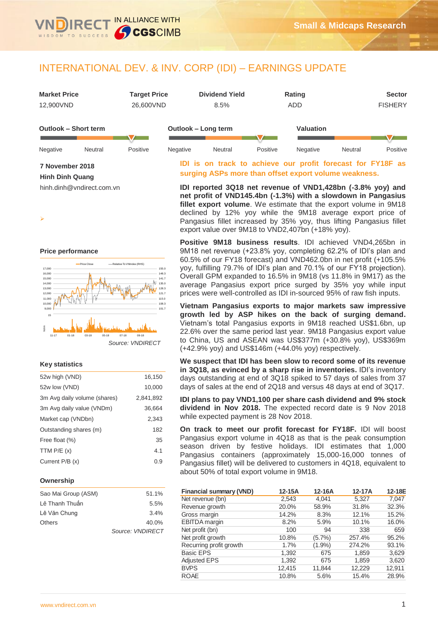# INTERNATIONAL DEV. & INV. CORP (IDI) – EARNINGS UPDATE

IN ALLIANCE WITH

**S**CGSCIMB

| <b>Market Price</b>         |         | <b>Target Price</b> |          | <b>Dividend Yield</b> |          | <b>Rating</b>    |         | <b>Sector</b>  |
|-----------------------------|---------|---------------------|----------|-----------------------|----------|------------------|---------|----------------|
| 12,900VND                   |         | 26,600VND           |          | 8.5%                  |          | ADD              |         | <b>FISHERY</b> |
|                             |         |                     |          |                       |          |                  |         |                |
| <b>Outlook - Short term</b> |         |                     |          | Outlook - Long term   |          | <b>Valuation</b> |         |                |
|                             |         |                     |          |                       |          |                  |         |                |
| Negative                    | Neutral | Positive            | Negative | Neutral               | Positive | Negative         | Neutral | Positive       |

# **7 November 2018**

**Hinh Dinh Quang**

hinh.dinh@vndirect.com.vn

➤

## **Price performance**



## **Key statistics**

| 52w high (VND)               | 16,150    |
|------------------------------|-----------|
| 52w low (VND)                | 10,000    |
| 3m Avg daily volume (shares) | 2,841,892 |
| 3m Avg daily value (VNDm)    | 36,664    |
| Market cap (VNDbn)           | 2.343     |
| Outstanding shares (m)       | 182       |
| Free float (%)               | 35        |
| TTM $P/E(x)$                 | 4.1       |
| Current $P/B(x)$             | 0.9       |
|                              |           |

### **Ownership**

| Sao Mai Group (ASM) | 51.1%            |
|---------------------|------------------|
| Lê Thanh Thuẩn      | 5.5%             |
| Lê Văn Chung        | 3.4%             |
| Others              | 40.0%            |
|                     | Source: VNDIRECT |

# **IDI is on track to achieve our profit forecast for FY18F as surging ASPs more than offset export volume weakness.**

**IDI reported 3Q18 net revenue of VND1,428bn (-3.8% yoy) and net profit of VND145.4bn (-1.3%) with a slowdown in Pangasius fillet export volume**. We estimate that the export volume in 9M18 declined by 12% yoy while the 9M18 average export price of Pangasius fillet increased by 35% yoy, thus lifting Pangasius fillet export value over 9M18 to VND2,407bn (+18% yoy).

**Positive 9M18 business results**. IDI achieved VND4,265bn in 9M18 net revenue (+23.8% yoy, completing 62.2% of IDI's plan and 60.5% of our FY18 forecast) and VND462.0bn in net profit (+105.5% yoy, fulfilling 79.7% of IDI's plan and 70.1% of our FY18 projection). Overall GPM expanded to 16.5% in 9M18 (vs 11.8% in 9M17) as the average Pangasius export price surged by 35% yoy while input prices were well-controlled as IDI in-sourced 95% of raw fish inputs.

**Vietnam Pangasius exports to major markets saw impressive growth led by ASP hikes on the back of surging demand.** Vietnam's total Pangasius exports in 9M18 reached US\$1.6bn, up 22.6% over the same period last year. 9M18 Pangasius export value to China, US and ASEAN was US\$377m (+30.8% yoy), US\$369m (+42.9% yoy) and US\$146m (+44.0% yoy) respectively.

**We suspect that IDI has been slow to record some of its revenue in 3Q18, as evinced by a sharp rise in inventories.** IDI's inventory days outstanding at end of 3Q18 spiked to 57 days of sales from 37 days of sales at the end of 2Q18 and versus 48 days at end of 3Q17.

**IDI plans to pay VND1,100 per share cash dividend and 9% stock dividend in Nov 2018.** The expected record date is 9 Nov 2018 while expected payment is 28 Nov 2018.

**On track to meet our profit forecast for FY18F.** IDI will boost Pangasius export volume in 4Q18 as that is the peak consumption season driven by festive holidays. IDI estimates that 1,000 Pangasius containers (approximately 15,000-16,000 tonnes of Pangasius fillet) will be delivered to customers in 4Q18, equivalent to about 50% of total export volume in 9M18.

| <b>Financial summary (VND)</b> | $12-15A$ | 12-16A    | 12-17A | 12-18E |
|--------------------------------|----------|-----------|--------|--------|
| Net revenue (bn)               | 2,543    | 4.041     | 5,327  | 7.047  |
| Revenue growth                 | 20.0%    | 58.9%     | 31.8%  | 32.3%  |
| Gross margin                   | 14.2%    | 8.3%      | 12.1%  | 15.2%  |
| EBITDA margin                  | 8.2%     | 5.9%      | 10.1%  | 16.0%  |
| Net profit (bn)                | 100      | 94        | 338    | 659    |
| Net profit growth              | 10.8%    | (5.7%)    | 257.4% | 95.2%  |
| Recurring profit growth        | $1.7\%$  | $(1.9\%)$ | 274.2% | 93.1%  |
| <b>Basic EPS</b>               | 1,392    | 675       | 1,859  | 3,629  |
| <b>Adjusted EPS</b>            | 1,392    | 675       | 1,859  | 3,620  |
| <b>BVPS</b>                    | 12,415   | 11,844    | 12,229 | 12,911 |
| <b>ROAE</b>                    | 10.8%    | 5.6%      | 15.4%  | 28.9%  |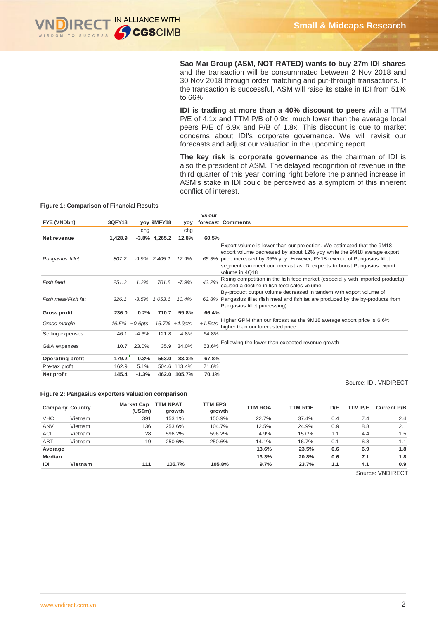

**Sao Mai Group (ASM, NOT RATED) wants to buy 27m IDI shares** and the transaction will be consummated between 2 Nov 2018 and 30 Nov 2018 through order matching and put-through transactions. If the transaction is successful, ASM will raise its stake in IDI from 51% to 66%.

**IDI is trading at more than a 40% discount to peers** with a TTM P/E of 4.1x and TTM P/B of 0.9x, much lower than the average local peers P/E of 6.9x and P/B of 1.8x. This discount is due to market concerns about IDI's corporate governance. We will revisit our forecasts and adjust our valuation in the upcoming report.

**The key risk is corporate governance** as the chairman of IDI is also the president of ASM. The delayed recognition of revenue in the third quarter of this year coming right before the planned increase in ASM's stake in IDI could be perceived as a symptom of this inherent conflict of interest.

#### **Figure 1: Comparison of Financial Results**

|                         |         |                   |                  |               | vs our    |                                                                                                                                                                                                                                                                                                                             |
|-------------------------|---------|-------------------|------------------|---------------|-----------|-----------------------------------------------------------------------------------------------------------------------------------------------------------------------------------------------------------------------------------------------------------------------------------------------------------------------------|
| FYE (VNDbn)             | 3QFY18  |                   | voy 9MFY18       | yoy           |           | forecast Comments                                                                                                                                                                                                                                                                                                           |
|                         |         | chg               |                  | chg           |           |                                                                                                                                                                                                                                                                                                                             |
| Net revenue             | 1,428.9 |                   | $-3.8\%$ 4,265.2 | 12.8%         | 60.5%     |                                                                                                                                                                                                                                                                                                                             |
| Pangasius fillet        | 807.2   |                   | $-9.9\%$ 2,405.1 | 17.9%         |           | Export volume is lower than our projection. We estimated that the 9M18<br>export volume decreased by about 12% yoy while the 9M18 average export<br>65.3% price increased by 35% yoy. However, FY18 revenue of Pangasius fillet<br>segment can meet our forecast as IDI expects to boost Pangasius export<br>volume in 4018 |
| Fish feed               | 251.2   | 1.2%              | 701.8            | $-7.9%$       | 43.2%     | Rising competition in the fish feed market (especially with imported products)<br>caused a decline in fish feed sales volume                                                                                                                                                                                                |
| Fish meal/Fish fat      | 326.1   |                   | $-3.5\%$ 1,053.6 | 10.4%         |           | By-product output volume decreased in tandem with export volume of<br>63.8% Pangasius fillet (fish meal and fish fat are produced by the by-products from<br>Pangasius fillet processing)                                                                                                                                   |
| <b>Gross profit</b>     | 236.0   | 0.2%              | 710.7            | 59.8%         | 66.4%     |                                                                                                                                                                                                                                                                                                                             |
| Gross margin            |         | $16.5\% + 0.6pts$ |                  | 16.7% +4.9pts | $+1.5pts$ | Higher GPM than our forcast as the 9M18 average export price is 6.6%<br>higher than our forecasted price                                                                                                                                                                                                                    |
| Selling expenses        | 46.1    | $-4.6%$           | 121.8            | 4.8%          | 64.8%     |                                                                                                                                                                                                                                                                                                                             |
| G&A expenses            | 10.7    | 23.0%             | 35.9             | 34.0%         | 53.6%     | Following the lower-than-expected revenue growth                                                                                                                                                                                                                                                                            |
| <b>Operating profit</b> | 179.2   | 0.3%              | 553.0            | 83.3%         | 67.8%     |                                                                                                                                                                                                                                                                                                                             |
| Pre-tax profit          | 162.9   | 5.1%              |                  | 504.6 113.4%  | 71.6%     |                                                                                                                                                                                                                                                                                                                             |
| Net profit              | 145.4   | $-1.3%$           |                  | 462.0 105.7%  | 70.1%     |                                                                                                                                                                                                                                                                                                                             |

## Source: IDI, VNDIRECT

#### **Figure 2: Pangasius exporters valuation comparison**

| <b>Company Country</b> |         | <b>Market Cap</b><br>(US\$m) | <b>TTM NPAT</b><br>growth | <b>TTM EPS</b><br>growth | <b>TTM ROA</b> | <b>TTM ROE</b> | D/E | TTM P/E | <b>Current P/B</b> |
|------------------------|---------|------------------------------|---------------------------|--------------------------|----------------|----------------|-----|---------|--------------------|
| <b>VHC</b>             | Vietnam | 391                          | 153.1%                    | 150.9%                   | 22.7%          | 37.4%          | 0.4 | 7.4     | 2.4                |
| <b>ANV</b>             | Vietnam | 136                          | 253.6%                    | 104.7%                   | 12.5%          | 24.9%          | 0.9 | 8.8     | 2.1                |
| <b>ACL</b>             | Vietnam | 28                           | 596.2%                    | 596.2%                   | 4.9%           | 15.0%          | 1.1 | 4.4     | 1.5                |
| <b>ABT</b>             | Vietnam | 19                           | 250.6%                    | 250.6%                   | 14.1%          | 16.7%          | 0.1 | 6.8     | 1.1                |
| Average                |         |                              |                           |                          | 13.6%          | 23.5%          | 0.6 | 6.9     | 1.8                |
| <b>Median</b>          |         |                              |                           |                          | 13.3%          | 20.8%          | 0.6 | 7.1     | 1.8                |
| IDI                    | Vietnam | 111                          | 105.7%                    | 105.8%                   | 9.7%           | 23.7%          | 1.1 | 4.1     | 0.9                |
|                        |         |                              |                           |                          |                |                |     |         |                    |

Source: VNDIRECT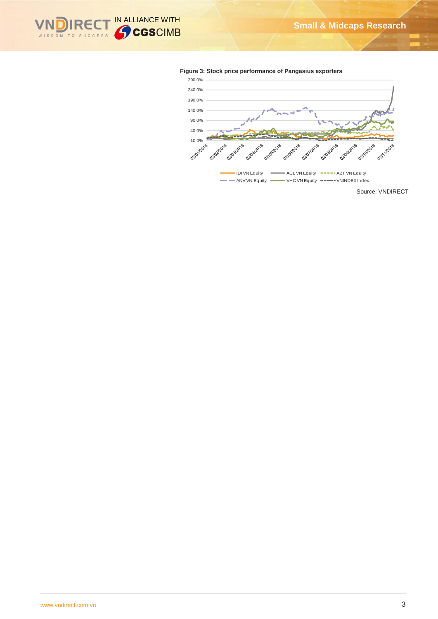



### **Figure 3: Stock price performance of Pangasius exporters**

Source: VNDIRECT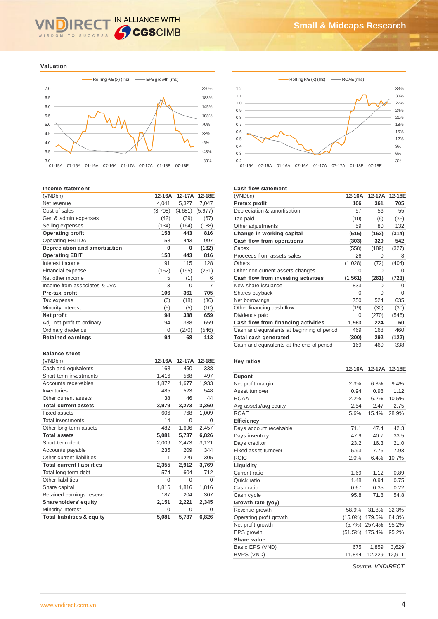# IN ALLIANCE WITH **IRE** WISDOM TO SUCCESS

**Valuation**



#### **Income statement**

| (VNDbn)                       | 12-16A  | 12-17A   | 12-18E         |
|-------------------------------|---------|----------|----------------|
| Net revenue                   | 4,041   | 5,327    | 7,047          |
| Cost of sales                 | (3,708) | (4,681)  | (5, 977)       |
| Gen & admin expenses          | (42)    | (39)     | (67)           |
| Selling expenses              | (134)   | (164)    | (188)          |
| <b>Operating profit</b>       | 158     | 443      | 816            |
| <b>Operating EBITDA</b>       | 158     | 443      | 997            |
| Depreciation and amortisation | O       | 0        | (182)          |
| <b>Operating EBIT</b>         | 158     | 443      | 816            |
| Interest income               | 91      | 115      | 128            |
| <b>Financial expense</b>      | (152)   | (195)    | (251)          |
| Net other income              | 5       | (1)      | 6              |
| Income from associates & JVs  | 3       | $\Omega$ | $\overline{7}$ |
| Pre-tax profit                | 106     | 361      | 705            |
| Tax expense                   | (6)     | (18)     | (36)           |
| Minority interest             | (5)     | (5)      | (10)           |
| Net profit                    | 94      | 338      | 659            |
| Adj. net profit to ordinary   | 94      | 338      | 659            |
| Ordinary dividends            | 0       | (270)    | (546)          |
| <b>Retained earnings</b>      | 94      | 68       | 113            |
|                               |         |          |                |

#### **Balance sheet**

| (VNDbn)                               | 12-16A   | 12-17A   | 12-18E   |
|---------------------------------------|----------|----------|----------|
| Cash and equivalents                  | 168      | 460      | 338      |
| Short term investments                | 1,416    | 568      | 497      |
| Accounts receivables                  | 1,872    | 1,677    | 1,933    |
| Inventories                           | 485      | 523      | 548      |
| Other current assets                  | 38       | 46       | 44       |
| <b>Total current assets</b>           | 3,979    | 3,273    | 3,360    |
| Fixed assets                          | 606      | 768      | 1,009    |
| <b>Total investments</b>              | 14       | $\Omega$ | 0        |
| Other long-term assets                | 482      | 1,696    | 2,457    |
| <b>Total assets</b>                   | 5,081    | 5,737    | 6,826    |
| Short-term debt                       | 2,009    | 2,473    | 3,121    |
| Accounts payable                      | 235      | 209      | 344      |
| Other current liabilities             | 111      | 229      | 305      |
| <b>Total current liabilities</b>      | 2,355    | 2,912    | 3,769    |
| Total long-term debt                  | 574      | 604      | 712      |
| Other liabilities                     | 0        | $\Omega$ | $\Omega$ |
| Share capital                         | 1,816    | 1,816    | 1,816    |
| Retained earnings reserve             | 187      | 204      | 307      |
| Shareholders' equity                  | 2,151    | 2,221    | 2,345    |
| Minority interest                     | $\Omega$ | $\Omega$ | 0        |
| <b>Total liabilities &amp; equity</b> | 5,081    | 5,737    | 6,826    |
|                                       |          |          |          |



#### **Cash flow statement**

| (VNDbn)                                     | 12-16A   | 12-17A   | 12-18E |
|---------------------------------------------|----------|----------|--------|
| Pretax profit                               | 106      | 361      | 705    |
| Depreciation & amortisation                 | 57       | 56       | 55     |
| Tax paid                                    | (10)     | (6)      | (36)   |
| Other adjustments                           | 59       | 80       | 132    |
| Change in working capital                   | (515)    | (162)    | (314)  |
| Cash flow from operations                   | (303)    | 329      | 542    |
| Capex                                       | (558)    | (189)    | (327)  |
| Proceeds from assets sales                  | 26       | $\Omega$ | 8      |
| Others                                      | (1,028)  | (72)     | (404)  |
| Other non-current assets changes            | 0        | 0        | 0      |
| Cash flow from investing activities         | (1, 561) | (261)    | (723)  |
| New share issuance                          | 833      | O        | O      |
| Shares buyback                              | 0        | 0        | 0      |
| Net borrowings                              | 750      | 524      | 635    |
| Other financing cash flow                   | (19)     | (30)     | (30)   |
| Dividends paid                              | 0        | (270)    | (546)  |
| Cash flow from financing activities         | 1,563    | 224      | 60     |
| Cash and equivalents at beginning of period | 469      | 168      | 460    |
| Total cash generated                        | (300)    | 292      | (122)  |
| Cash and equivalents at the end of period   | 169      | 460      | 338    |

# **Key ratios**

|                         | 12-16A     | 12-17A | 12-18E |
|-------------------------|------------|--------|--------|
| <b>Dupont</b>           |            |        |        |
| Net profit margin       | 2.3%       | 6.3%   | 9.4%   |
| Asset turnover          | 0.94       | 0.98   | 1.12   |
| ROAA                    | 2.2%       | 6.2%   | 10.5%  |
| Avg assets/avg equity   | 2.54       | 2.47   | 2.75   |
| <b>ROAE</b>             | 5.6%       | 15.4%  | 28.9%  |
| <b>Efficiency</b>       |            |        |        |
| Days account receivable | 71.1       | 47.4   | 42.3   |
| Days inventory          | 47.9       | 40.7   | 33.5   |
| Days creditor           | 23.2       | 16.3   | 21.0   |
| Fixed asset turnover    | 5.93       | 7.76   | 7.93   |
| <b>ROIC</b>             | 2.0%       | 6.4%   | 10.7%  |
| Liquidity               |            |        |        |
| Current ratio           | 1.69       | 1.12   | 0.89   |
| Quick ratio             | 1.48       | 0.94   | 0.75   |
| Cash ratio              | 0.67       | 0.35   | 0.22   |
| Cash cycle              | 95.8       | 71.8   | 54.8   |
| Growth rate (yoy)       |            |        |        |
| Revenue growth          | 58.9%      | 31.8%  | 32.3%  |
| Operating profit growth | $(15.0\%)$ | 179.6% | 84.3%  |
| Net profit growth       | $(5.7\%)$  | 257.4% | 95.2%  |
| EPS growth              | (51.5%)    | 175.4% | 95.2%  |
| Share value             |            |        |        |
| Basic EPS (VND)         | 675        | 1,859  | 3,629  |
| BVPS (VND)              | 11,844     | 12,229 | 12,911 |
|                         |            |        |        |

*Source: VNDIRECT*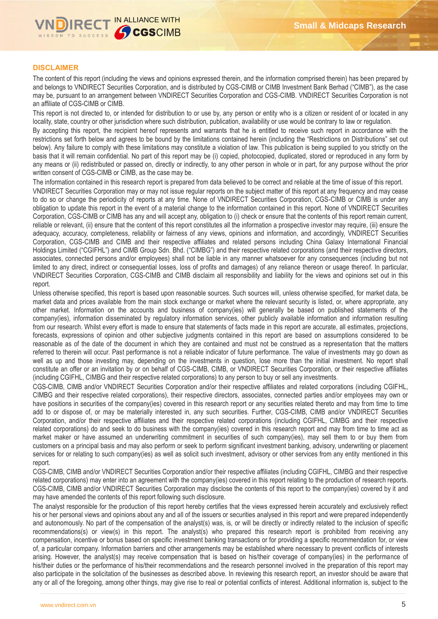

# **DISCLAIMER**

The content of this report (including the views and opinions expressed therein, and the information comprised therein) has been prepared by and belongs to VNDIRECT Securities Corporation, and is distributed by CGS-CIMB or CIMB Investment Bank Berhad ("CIMB"), as the case may be, pursuant to an arrangement between VNDIRECT Securities Corporation and CGS-CIMB. VNDIRECT Securities Corporation is not an affiliate of CGS-CIMB or CIMB.

This report is not directed to, or intended for distribution to or use by, any person or entity who is a citizen or resident of or located in any locality, state, country or other jurisdiction where such distribution, publication, availability or use would be contrary to law or regulation.

By accepting this report, the recipient hereof represents and warrants that he is entitled to receive such report in accordance with the restrictions set forth below and agrees to be bound by the limitations contained herein (including the "Restrictions on Distributions" set out below). Any failure to comply with these limitations may constitute a violation of law. This publication is being supplied to you strictly on the basis that it will remain confidential. No part of this report may be (i) copied, photocopied, duplicated, stored or reproduced in any form by any means or (ii) redistributed or passed on, directly or indirectly, to any other person in whole or in part, for any purpose without the prior written consent of CGS-CIMB or CIMB, as the case may be.

The information contained in this research report is prepared from data believed to be correct and reliable at the time of issue of this report. VNDIRECT Securities Corporation may or may not issue regular reports on the subject matter of this report at any frequency and may cease to do so or change the periodicity of reports at any time. None of VNDIRECT Securities Corporation, CGS-CIMB or CIMB is under any obligation to update this report in the event of a material change to the information contained in this report. None of VNDIRECT Securities Corporation, CGS-CIMB or CIMB has any and will accept any, obligation to (i) check or ensure that the contents of this report remain current, reliable or relevant, (ii) ensure that the content of this report constitutes all the information a prospective investor may require, (iii) ensure the adequacy, accuracy, completeness, reliability or fairness of any views, opinions and information, and accordingly, VNDIRECT Securities Corporation, CGS-CIMB and CIMB and their respective affiliates and related persons including China Galaxy International Financial Holdings Limited ("CGIFHL") and CIMB Group Sdn. Bhd. ("CIMBG") and their respective related corporations (and their respective directors, associates, connected persons and/or employees) shall not be liable in any manner whatsoever for any consequences (including but not limited to any direct, indirect or consequential losses, loss of profits and damages) of any reliance thereon or usage thereof. In particular, VNDIRECT Securities Corporation, CGS-CIMB and CIMB disclaim all responsibility and liability for the views and opinions set out in this report.

Unless otherwise specified, this report is based upon reasonable sources. Such sources will, unless otherwise specified, for market data, be market data and prices available from the main stock exchange or market where the relevant security is listed, or, where appropriate, any other market. Information on the accounts and business of company(ies) will generally be based on published statements of the company(ies), information disseminated by regulatory information services, other publicly available information and information resulting from our research. Whilst every effort is made to ensure that statements of facts made in this report are accurate, all estimates, projections, forecasts, expressions of opinion and other subjective judgments contained in this report are based on assumptions considered to be reasonable as of the date of the document in which they are contained and must not be construed as a representation that the matters referred to therein will occur. Past performance is not a reliable indicator of future performance. The value of investments may go down as well as up and those investing may, depending on the investments in question, lose more than the initial investment. No report shall constitute an offer or an invitation by or on behalf of CGS-CIMB, CIMB, or VNDIRECT Securities Corporation, or their respective affiliates (including CGIFHL, CIMBG and their respective related corporations) to any person to buy or sell any investments.

CGS-CIMB, CIMB and/or VNDIRECT Securities Corporation and/or their respective affiliates and related corporations (including CGIFHL, CIMBG and their respective related corporations), their respective directors, associates, connected parties and/or employees may own or have positions in securities of the company(ies) covered in this research report or any securities related thereto and may from time to time add to or dispose of, or may be materially interested in, any such securities. Further, CGS-CIMB, CIMB and/or VNDIRECT Securities Corporation, and/or their respective affiliates and their respective related corporations (including CGIFHL, CIMBG and their respective related corporations) do and seek to do business with the company(ies) covered in this research report and may from time to time act as market maker or have assumed an underwriting commitment in securities of such company(ies), may sell them to or buy them from customers on a principal basis and may also perform or seek to perform significant investment banking, advisory, underwriting or placement services for or relating to such company(ies) as well as solicit such investment, advisory or other services from any entity mentioned in this report.

CGS-CIMB, CIMB and/or VNDIRECT Securities Corporation and/or their respective affiliates (including CGIFHL, CIMBG and their respective related corporations) may enter into an agreement with the company(ies) covered in this report relating to the production of research reports. CGS-CIMB, CIMB and/or VNDIRECT Securities Corporation may disclose the contents of this report to the company(ies) covered by it and may have amended the contents of this report following such disclosure.

The analyst responsible for the production of this report hereby certifies that the views expressed herein accurately and exclusively reflect his or her personal views and opinions about any and all of the issuers or securities analysed in this report and were prepared independently and autonomously. No part of the compensation of the analyst(s) was, is, or will be directly or indirectly related to the inclusion of specific recommendations(s) or view(s) in this report. The analyst(s) who prepared this research report is prohibited from receiving any compensation, incentive or bonus based on specific investment banking transactions or for providing a specific recommendation for, or view of, a particular company. Information barriers and other arrangements may be established where necessary to prevent conflicts of interests arising. However, the analyst(s) may receive compensation that is based on his/their coverage of company(ies) in the performance of his/their duties or the performance of his/their recommendations and the research personnel involved in the preparation of this report may also participate in the solicitation of the businesses as described above. In reviewing this research report, an investor should be aware that any or all of the foregoing, among other things, may give rise to real or potential conflicts of interest. Additional information is, subject to the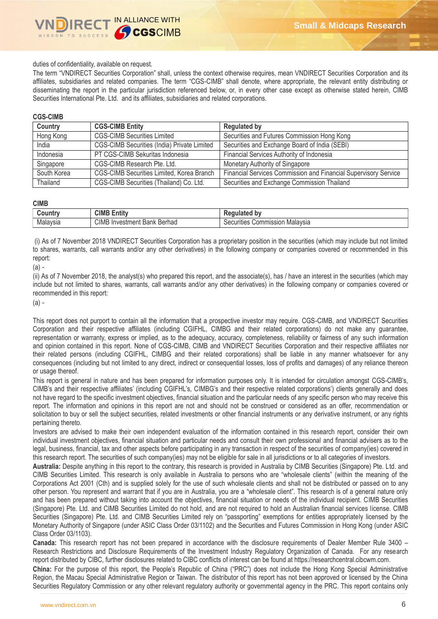

duties of confidentiality, available on request.

The term "VNDIRECT Securities Corporation" shall, unless the context otherwise requires, mean VNDIRECT Securities Corporation and its affiliates, subsidiaries and related companies. The term "CGS-CIMB" shall denote, where appropriate, the relevant entity distributing or disseminating the report in the particular jurisdiction referenced below, or, in every other case except as otherwise stated herein, CIMB Securities International Pte. Ltd. and its affiliates, subsidiaries and related corporations.

### **CGS-CIMB**

| Country     | <b>CGS-CIMB Entity</b>                      | <b>Regulated by</b>                                             |
|-------------|---------------------------------------------|-----------------------------------------------------------------|
| Hong Kong   | <b>CGS-CIMB Securities Limited</b>          | Securities and Futures Commission Hong Kong                     |
| India       | CGS-CIMB Securities (India) Private Limited | Securities and Exchange Board of India (SEBI)                   |
| Indonesia   | PT CGS-CIMB Sekuritas Indonesia             | Financial Services Authority of Indonesia                       |
| Singapore   | CGS-CIMB Research Pte. Ltd.                 | Monetary Authority of Singapore                                 |
| South Korea | CGS-CIMB Securities Limited, Korea Branch   | Financial Services Commission and Financial Supervisory Service |
| Thailand    | CGS-CIMB Securities (Thailand) Co. Ltd.     | Securities and Exchange Commission Thailand                     |

### **CIMB**

| .ountry  | <b>CIMB</b><br>$\overline{1}$<br>Entity | b٧<br>.<br>R۵<br>лате:                                     |
|----------|-----------------------------------------|------------------------------------------------------------|
| Malaysia | CIMB Investment<br>Berhad<br>Bank       | .<br>Malavsia<br>ommission<br>$\sim$<br>rities<br>ואר<br>u |

(i) As of 7 November 2018 VNDIRECT Securities Corporation has a proprietary position in the securities (which may include but not limited to shares, warrants, call warrants and/or any other derivatives) in the following company or companies covered or recommended in this report:

(a) -

(ii) As of 7 November 2018, the analyst(s) who prepared this report, and the associate(s), has / have an interest in the securities (which may include but not limited to shares, warrants, call warrants and/or any other derivatives) in the following company or companies covered or recommended in this report:

(a) -

This report does not purport to contain all the information that a prospective investor may require. CGS-CIMB, and VNDIRECT Securities Corporation and their respective affiliates (including CGIFHL, CIMBG and their related corporations) do not make any guarantee, representation or warranty, express or implied, as to the adequacy, accuracy, completeness, reliability or fairness of any such information and opinion contained in this report. None of CGS-CIMB, CIMB and VNDIRECT Securities Corporation and their respective affiliates nor their related persons (including CGIFHL, CIMBG and their related corporations) shall be liable in any manner whatsoever for any consequences (including but not limited to any direct, indirect or consequential losses, loss of profits and damages) of any reliance thereon or usage thereof.

This report is general in nature and has been prepared for information purposes only. It is intended for circulation amongst CGS-CIMB's, CIMB's and their respective affiliates' (including CGIFHL's, CIMBG's and their respective related corporations') clients generally and does not have regard to the specific investment objectives, financial situation and the particular needs of any specific person who may receive this report. The information and opinions in this report are not and should not be construed or considered as an offer, recommendation or solicitation to buy or sell the subject securities, related investments or other financial instruments or any derivative instrument, or any rights pertaining thereto.

Investors are advised to make their own independent evaluation of the information contained in this research report, consider their own individual investment objectives, financial situation and particular needs and consult their own professional and financial advisers as to the legal, business, financial, tax and other aspects before participating in any transaction in respect of the securities of company(ies) covered in this research report. The securities of such company(ies) may not be eligible for sale in all jurisdictions or to all categories of investors.

**Australia:** Despite anything in this report to the contrary, this research is provided in Australia by CIMB Securities (Singapore) Pte. Ltd. and CIMB Securities Limited. This research is only available in Australia to persons who are "wholesale clients" (within the meaning of the Corporations Act 2001 (Cth) and is supplied solely for the use of such wholesale clients and shall not be distributed or passed on to any other person. You represent and warrant that if you are in Australia, you are a "wholesale client". This research is of a general nature only and has been prepared without taking into account the objectives, financial situation or needs of the individual recipient. CIMB Securities (Singapore) Pte. Ltd. and CIMB Securities Limited do not hold, and are not required to hold an Australian financial services license. CIMB Securities (Singapore) Pte. Ltd. and CIMB Securities Limited rely on "passporting" exemptions for entities appropriately licensed by the Monetary Authority of Singapore (under ASIC Class Order 03/1102) and the Securities and Futures Commission in Hong Kong (under ASIC Class Order 03/1103).

**Canada:** This research report has not been prepared in accordance with the disclosure requirements of Dealer Member Rule 3400 – Research Restrictions and Disclosure Requirements of the Investment Industry Regulatory Organization of Canada. For any research report distributed by CIBC, further disclosures related to CIBC conflicts of interest can be found at https://researchcentral.cibcwm.com.

**China:** For the purpose of this report, the People's Republic of China ("PRC") does not include the Hong Kong Special Administrative Region, the Macau Special Administrative Region or Taiwan. The distributor of this report has not been approved or licensed by the China Securities Regulatory Commission or any other relevant regulatory authority or governmental agency in the PRC. This report contains only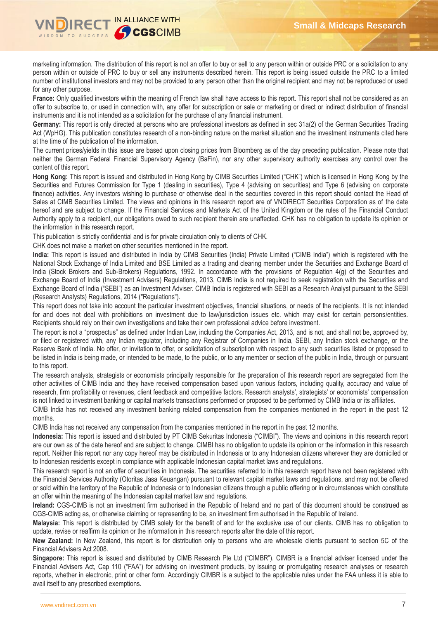

marketing information. The distribution of this report is not an offer to buy or sell to any person within or outside PRC or a solicitation to any person within or outside of PRC to buy or sell any instruments described herein. This report is being issued outside the PRC to a limited number of institutional investors and may not be provided to any person other than the original recipient and may not be reproduced or used for any other purpose.

France: Only qualified investors within the meaning of French law shall have access to this report. This report shall not be considered as an offer to subscribe to, or used in connection with, any offer for subscription or sale or marketing or direct or indirect distribution of financial instruments and it is not intended as a solicitation for the purchase of any financial instrument.

**Germany:** This report is only directed at persons who are professional investors as defined in sec 31a(2) of the German Securities Trading Act (WpHG). This publication constitutes research of a non-binding nature on the market situation and the investment instruments cited here at the time of the publication of the information.

The current prices/yields in this issue are based upon closing prices from Bloomberg as of the day preceding publication. Please note that neither the German Federal Financial Supervisory Agency (BaFin), nor any other supervisory authority exercises any control over the content of this report.

**Hong Kong:** This report is issued and distributed in Hong Kong by CIMB Securities Limited ("CHK") which is licensed in Hong Kong by the Securities and Futures Commission for Type 1 (dealing in securities), Type 4 (advising on securities) and Type 6 (advising on corporate finance) activities. Any investors wishing to purchase or otherwise deal in the securities covered in this report should contact the Head of Sales at CIMB Securities Limited. The views and opinions in this research report are of VNDIRECT Securities Corporation as of the date hereof and are subject to change. If the Financial Services and Markets Act of the United Kingdom or the rules of the Financial Conduct Authority apply to a recipient, our obligations owed to such recipient therein are unaffected. CHK has no obligation to update its opinion or the information in this research report.

This publication is strictly confidential and is for private circulation only to clients of CHK.

CHK does not make a market on other securities mentioned in the report.

**India:** This report is issued and distributed in India by CIMB Securities (India) Private Limited ("CIMB India") which is registered with the National Stock Exchange of India Limited and BSE Limited as a trading and clearing member under the Securities and Exchange Board of India (Stock Brokers and Sub-Brokers) Regulations, 1992. In accordance with the provisions of Regulation 4(g) of the Securities and Exchange Board of India (Investment Advisers) Regulations, 2013, CIMB India is not required to seek registration with the Securities and Exchange Board of India ("SEBI") as an Investment Adviser. CIMB India is registered with SEBI as a Research Analyst pursuant to the SEBI (Research Analysts) Regulations, 2014 ("Regulations").

This report does not take into account the particular investment objectives, financial situations, or needs of the recipients. It is not intended for and does not deal with prohibitions on investment due to law/jurisdiction issues etc. which may exist for certain persons/entities. Recipients should rely on their own investigations and take their own professional advice before investment.

The report is not a "prospectus" as defined under Indian Law, including the Companies Act, 2013, and is not, and shall not be, approved by, or filed or registered with, any Indian regulator, including any Registrar of Companies in India, SEBI, any Indian stock exchange, or the Reserve Bank of India. No offer, or invitation to offer, or solicitation of subscription with respect to any such securities listed or proposed to be listed in India is being made, or intended to be made, to the public, or to any member or section of the public in India, through or pursuant to this report.

The research analysts, strategists or economists principally responsible for the preparation of this research report are segregated from the other activities of CIMB India and they have received compensation based upon various factors, including quality, accuracy and value of research, firm profitability or revenues, client feedback and competitive factors. Research analysts', strategists' or economists' compensation is not linked to investment banking or capital markets transactions performed or proposed to be performed by CIMB India or its affiliates.

CIMB India has not received any investment banking related compensation from the companies mentioned in the report in the past 12 months.

CIMB India has not received any compensation from the companies mentioned in the report in the past 12 months.

**Indonesia:** This report is issued and distributed by PT CIMB Sekuritas Indonesia ("CIMBI"). The views and opinions in this research report are our own as of the date hereof and are subject to change. CIMBI has no obligation to update its opinion or the information in this research report. Neither this report nor any copy hereof may be distributed in Indonesia or to any Indonesian citizens wherever they are domiciled or to Indonesian residents except in compliance with applicable Indonesian capital market laws and regulations.

This research report is not an offer of securities in Indonesia. The securities referred to in this research report have not been registered with the Financial Services Authority (Otoritas Jasa Keuangan) pursuant to relevant capital market laws and regulations, and may not be offered or sold within the territory of the Republic of Indonesia or to Indonesian citizens through a public offering or in circumstances which constitute an offer within the meaning of the Indonesian capital market law and regulations.

**Ireland:** CGS-CIMB is not an investment firm authorised in the Republic of Ireland and no part of this document should be construed as CGS-CIMB acting as, or otherwise claiming or representing to be, an investment firm authorised in the Republic of Ireland.

**Malaysia:** This report is distributed by CIMB solely for the benefit of and for the exclusive use of our clients. CIMB has no obligation to update, revise or reaffirm its opinion or the information in this research reports after the date of this report.

**New Zealand:** In New Zealand, this report is for distribution only to persons who are wholesale clients pursuant to section 5C of the Financial Advisers Act 2008.

**Singapore:** This report is issued and distributed by CIMB Research Pte Ltd ("CIMBR"). CIMBR is a financial adviser licensed under the Financial Advisers Act, Cap 110 ("FAA") for advising on investment products, by issuing or promulgating research analyses or research reports, whether in electronic, print or other form. Accordingly CIMBR is a subject to the applicable rules under the FAA unless it is able to avail itself to any prescribed exemptions.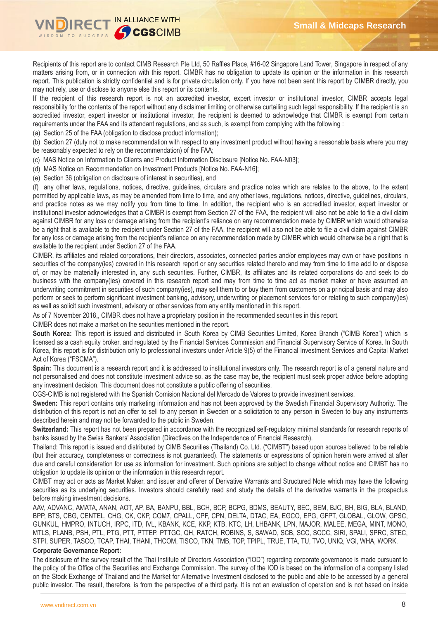

Recipients of this report are to contact CIMB Research Pte Ltd, 50 Raffles Place, #16-02 Singapore Land Tower, Singapore in respect of any matters arising from, or in connection with this report. CIMBR has no obligation to update its opinion or the information in this research report. This publication is strictly confidential and is for private circulation only. If you have not been sent this report by CIMBR directly, you may not rely, use or disclose to anyone else this report or its contents.

If the recipient of this research report is not an accredited investor, expert investor or institutional investor, CIMBR accepts legal responsibility for the contents of the report without any disclaimer limiting or otherwise curtailing such legal responsibility. If the recipient is an accredited investor, expert investor or institutional investor, the recipient is deemed to acknowledge that CIMBR is exempt from certain requirements under the FAA and its attendant regulations, and as such, is exempt from complying with the following :

(a) Section 25 of the FAA (obligation to disclose product information);

(b) Section 27 (duty not to make recommendation with respect to any investment product without having a reasonable basis where you may be reasonably expected to rely on the recommendation) of the FAA;

(c) MAS Notice on Information to Clients and Product Information Disclosure [Notice No. FAA-N03];

(d) MAS Notice on Recommendation on Investment Products [Notice No. FAA-N16];

(e) Section 36 (obligation on disclosure of interest in securities), and

(f) any other laws, regulations, notices, directive, guidelines, circulars and practice notes which are relates to the above, to the extent permitted by applicable laws, as may be amended from time to time, and any other laws, regulations, notices, directive, guidelines, circulars, and practice notes as we may notify you from time to time. In addition, the recipient who is an accredited investor, expert investor or institutional investor acknowledges that a CIMBR is exempt from Section 27 of the FAA, the recipient will also not be able to file a civil claim against CIMBR for any loss or damage arising from the recipient's reliance on any recommendation made by CIMBR which would otherwise be a right that is available to the recipient under Section 27 of the FAA, the recipient will also not be able to file a civil claim against CIMBR for any loss or damage arising from the recipient's reliance on any recommendation made by CIMBR which would otherwise be a right that is available to the recipient under Section 27 of the FAA.

CIMBR, its affiliates and related corporations, their directors, associates, connected parties and/or employees may own or have positions in securities of the company(ies) covered in this research report or any securities related thereto and may from time to time add to or dispose of, or may be materially interested in, any such securities. Further, CIMBR, its affiliates and its related corporations do and seek to do business with the company(ies) covered in this research report and may from time to time act as market maker or have assumed an underwriting commitment in securities of such company(ies), may sell them to or buy them from customers on a principal basis and may also perform or seek to perform significant investment banking, advisory, underwriting or placement services for or relating to such company(ies) as well as solicit such investment, advisory or other services from any entity mentioned in this report.

As of 7 November 2018,, CIMBR does not have a proprietary position in the recommended securities in this report.

CIMBR does not make a market on the securities mentioned in the report.

**South Korea:** This report is issued and distributed in South Korea by CIMB Securities Limited, Korea Branch ("CIMB Korea") which is licensed as a cash equity broker, and regulated by the Financial Services Commission and Financial Supervisory Service of Korea. In South Korea, this report is for distribution only to professional investors under Article 9(5) of the Financial Investment Services and Capital Market Act of Korea ("FSCMA").

**Spain:** This document is a research report and it is addressed to institutional investors only. The research report is of a general nature and not personalised and does not constitute investment advice so, as the case may be, the recipient must seek proper advice before adopting any investment decision. This document does not constitute a public offering of securities.

CGS-CIMB is not registered with the Spanish Comision Nacional del Mercado de Valores to provide investment services.

**Sweden:** This report contains only marketing information and has not been approved by the Swedish Financial Supervisory Authority. The distribution of this report is not an offer to sell to any person in Sweden or a solicitation to any person in Sweden to buy any instruments described herein and may not be forwarded to the public in Sweden.

**Switzerland:** This report has not been prepared in accordance with the recognized self-regulatory minimal standards for research reports of banks issued by the Swiss Bankers' Association (Directives on the Independence of Financial Research).

Thailand: This report is issued and distributed by CIMB Securities (Thailand) Co. Ltd. ("CIMBT") based upon sources believed to be reliable (but their accuracy, completeness or correctness is not guaranteed). The statements or expressions of opinion herein were arrived at after due and careful consideration for use as information for investment. Such opinions are subject to change without notice and CIMBT has no obligation to update its opinion or the information in this research report.

CIMBT may act or acts as Market Maker, and issuer and offerer of Derivative Warrants and Structured Note which may have the following securities as its underlying securities. Investors should carefully read and study the details of the derivative warrants in the prospectus before making investment decisions.

AAV, ADVANC, AMATA, ANAN, AOT, AP, BA, BANPU, BBL, BCH, BCP, BCPG, BDMS, BEAUTY, BEC, BEM, BJC, BH, BIG, BLA, BLAND, BPP, BTS, CBG, CENTEL, CHG, CK, CKP, COM7, CPALL, CPF, CPN, DELTA, DTAC, EA, EGCO, EPG, GFPT, GLOBAL, GLOW, GPSC, GUNKUL, HMPRO, INTUCH, IRPC, ITD, IVL, KBANK, KCE, KKP, KTB, KTC, LH, LHBANK, LPN, MAJOR, MALEE, MEGA, MINT, MONO, MTLS, PLANB, PSH, PTL, PTG, PTT, PTTEP, PTTGC, QH, RATCH, ROBINS, S, SAWAD, SCB, SCC, SCCC, SIRI, SPALI, SPRC, STEC, STPI, SUPER, TASCO, TCAP, THAI, THANI, THCOM, TISCO, TKN, TMB, TOP, TPIPL, TRUE, TTA, TU, TVO, UNIQ, VGI, WHA, WORK.

## **Corporate Governance Report:**

The disclosure of the survey result of the Thai Institute of Directors Association ("IOD") regarding corporate governance is made pursuant to the policy of the Office of the Securities and Exchange Commission. The survey of the IOD is based on the information of a company listed on the Stock Exchange of Thailand and the Market for Alternative Investment disclosed to the public and able to be accessed by a general public investor. The result, therefore, is from the perspective of a third party. It is not an evaluation of operation and is not based on inside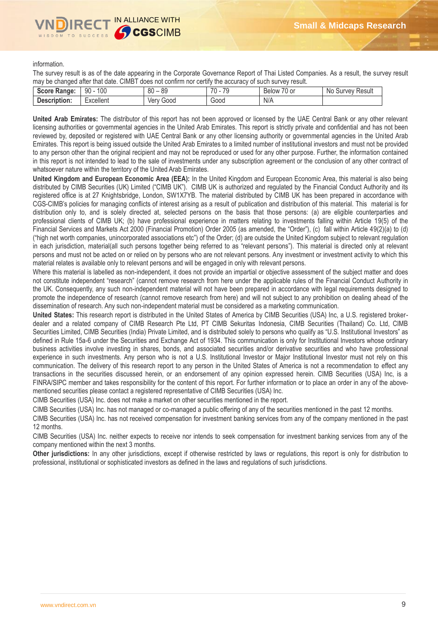

information.

The survey result is as of the date appearing in the Corporate Governance Report of Thai Listed Companies. As a result, the survey result may be changed after that date. CIMBT does not confirm nor certify the accuracy of such survey result.

| 100<br>$\overline{\phantom{a}}$<br>0C<br>$\overline{\phantom{a}}$<br>$\overline{\phantom{a}}$<br>$\circ$<br>90<br><b>Score Range:</b><br>No.<br>0 or<br>Survey<br><b>Below</b><br>ou<br>೦೮<br>- 14<br>u |  |  |        |
|---------------------------------------------------------------------------------------------------------------------------------------------------------------------------------------------------------|--|--|--------|
|                                                                                                                                                                                                         |  |  | Result |
| $\cdots$<br>N/A<br>Excellent<br>Good<br>Good<br>Description:<br>ver                                                                                                                                     |  |  |        |

**United Arab Emirates:** The distributor of this report has not been approved or licensed by the UAE Central Bank or any other relevant licensing authorities or governmental agencies in the United Arab Emirates. This report is strictly private and confidential and has not been reviewed by, deposited or registered with UAE Central Bank or any other licensing authority or governmental agencies in the United Arab Emirates. This report is being issued outside the United Arab Emirates to a limited number of institutional investors and must not be provided to any person other than the original recipient and may not be reproduced or used for any other purpose. Further, the information contained in this report is not intended to lead to the sale of investments under any subscription agreement or the conclusion of any other contract of whatsoever nature within the territory of the United Arab Emirates.

**United Kingdom and European Economic Area (EEA):** In the United Kingdom and European Economic Area, this material is also being distributed by CIMB Securities (UK) Limited ("CIMB UK"). CIMB UK is authorized and regulated by the Financial Conduct Authority and its registered office is at 27 Knightsbridge, London, SW1X7YB. The material distributed by CIMB UK has been prepared in accordance with CGS-CIMB's policies for managing conflicts of interest arising as a result of publication and distribution of this material. This material is for distribution only to, and is solely directed at, selected persons on the basis that those persons: (a) are eligible counterparties and professional clients of CIMB UK; (b) have professional experience in matters relating to investments falling within Article 19(5) of the Financial Services and Markets Act 2000 (Financial Promotion) Order 2005 (as amended, the "Order"), (c) fall within Article 49(2)(a) to (d) ("high net worth companies, unincorporated associations etc") of the Order; (d) are outside the United Kingdom subject to relevant regulation in each jurisdiction, material(all such persons together being referred to as "relevant persons"). This material is directed only at relevant persons and must not be acted on or relied on by persons who are not relevant persons. Any investment or investment activity to which this material relates is available only to relevant persons and will be engaged in only with relevant persons.

Where this material is labelled as non-independent, it does not provide an impartial or objective assessment of the subject matter and does not constitute independent "research" (cannot remove research from here under the applicable rules of the Financial Conduct Authority in the UK. Consequently, any such non-independent material will not have been prepared in accordance with legal requirements designed to promote the independence of research (cannot remove research from here) and will not subject to any prohibition on dealing ahead of the dissemination of research. Any such non-independent material must be considered as a marketing communication.

**United States:** This research report is distributed in the United States of America by CIMB Securities (USA) Inc, a U.S. registered brokerdealer and a related company of CIMB Research Pte Ltd, PT CIMB Sekuritas Indonesia, CIMB Securities (Thailand) Co. Ltd, CIMB Securities Limited, CIMB Securities (India) Private Limited, and is distributed solely to persons who qualify as "U.S. Institutional Investors" as defined in Rule 15a-6 under the Securities and Exchange Act of 1934. This communication is only for Institutional Investors whose ordinary business activities involve investing in shares, bonds, and associated securities and/or derivative securities and who have professional experience in such investments. Any person who is not a U.S. Institutional Investor or Major Institutional Investor must not rely on this communication. The delivery of this research report to any person in the United States of America is not a recommendation to effect any transactions in the securities discussed herein, or an endorsement of any opinion expressed herein. CIMB Securities (USA) Inc, is a FINRA/SIPC member and takes responsibility for the content of this report. For further information or to place an order in any of the abovementioned securities please contact a registered representative of CIMB Securities (USA) Inc.

CIMB Securities (USA) Inc. does not make a market on other securities mentioned in the report.

CIMB Securities (USA) Inc. has not managed or co-managed a public offering of any of the securities mentioned in the past 12 months.

CIMB Securities (USA) Inc. has not received compensation for investment banking services from any of the company mentioned in the past 12 months.

CIMB Securities (USA) Inc. neither expects to receive nor intends to seek compensation for investment banking services from any of the company mentioned within the next 3 months.

**Other jurisdictions:** In any other jurisdictions, except if otherwise restricted by laws or regulations, this report is only for distribution to professional, institutional or sophisticated investors as defined in the laws and regulations of such jurisdictions.